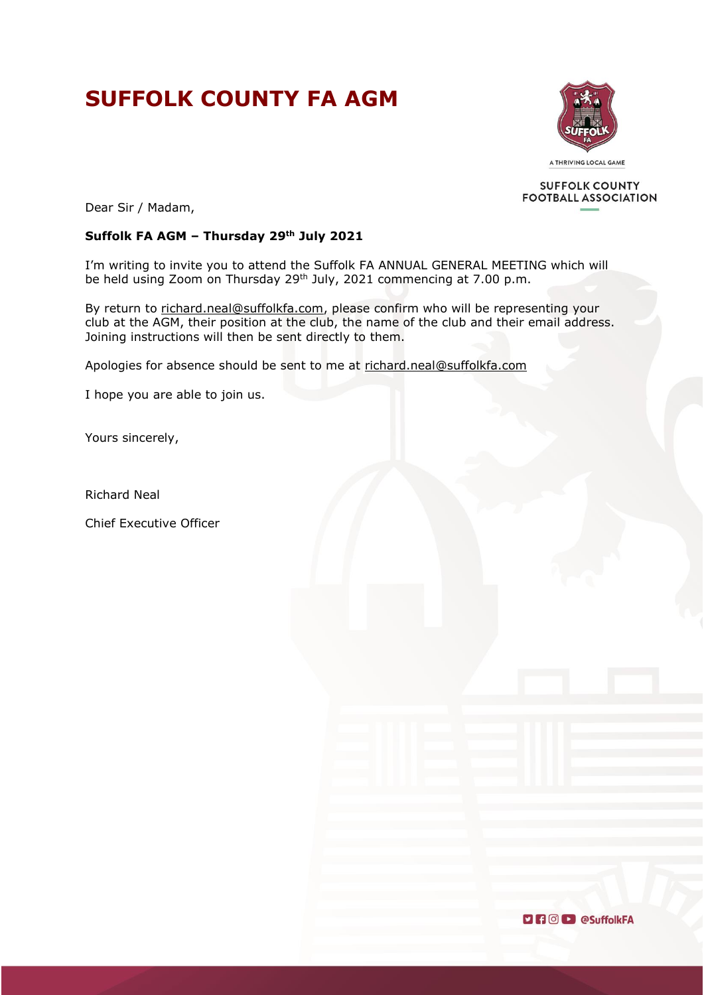# **SUFFOLK COUNTY FA AGM**



**SUFFOLK COUNTY FOOTBALL ASSOCIATION** 

Dear Sir / Madam,

# **Suffolk FA AGM – Thursday 29th July 2021**

I'm writing to invite you to attend the Suffolk FA ANNUAL GENERAL MEETING which will be held using Zoom on Thursday 29<sup>th</sup> July, 2021 commencing at 7.00 p.m.

By return to [richard.neal@suffolkfa.com,](mailto:richard.neal@suffolkfa.com) please confirm who will be representing your club at the AGM, their position at the club, the name of the club and their email address. Joining instructions will then be sent directly to them.

Apologies for absence should be sent to me at [richard.neal@suffolkfa.com](mailto:richard.neal@suffolkfa.com)

I hope you are able to join us.

Yours sincerely,

Richard Neal

Chief Executive Officer

**DROD** eSuffolkFA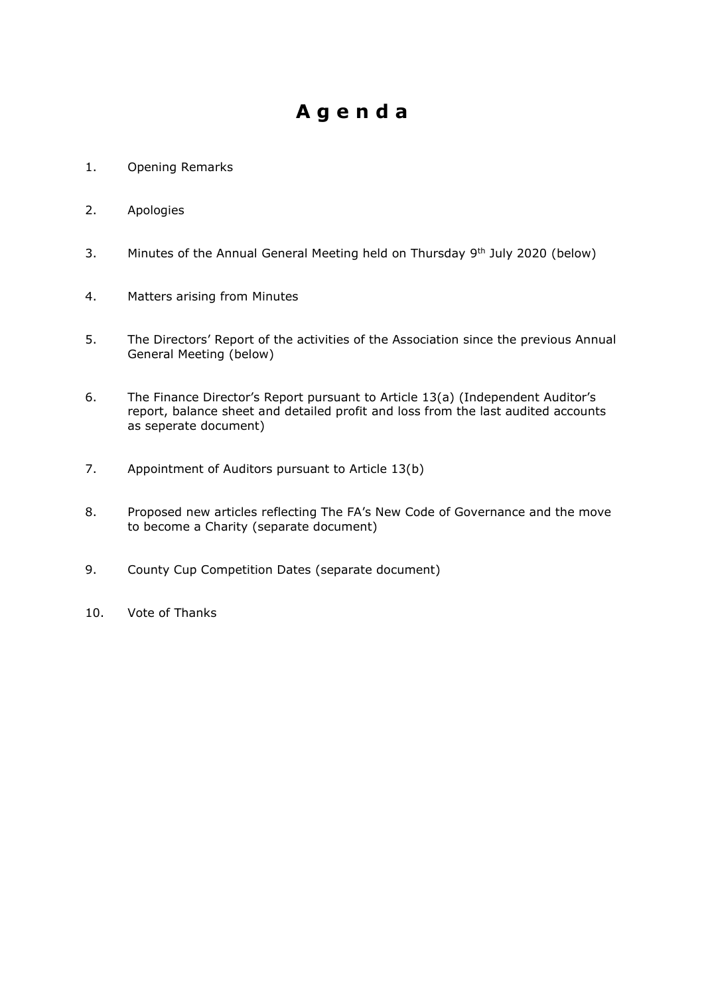# **A g e n d a**

- 1. Opening Remarks
- 2. Apologies
- 3. Minutes of the Annual General Meeting held on Thursday  $9<sup>th</sup>$  July 2020 (below)
- 4. Matters arising from Minutes
- 5. The Directors' Report of the activities of the Association since the previous Annual General Meeting (below)
- 6. The Finance Director's Report pursuant to Article 13(a) (Independent Auditor's report, balance sheet and detailed profit and loss from the last audited accounts as seperate document)
- 7. Appointment of Auditors pursuant to Article 13(b)
- 8. Proposed new articles reflecting The FA's New Code of Governance and the move to become a Charity (separate document)
- 9. County Cup Competition Dates (separate document)
- 10. Vote of Thanks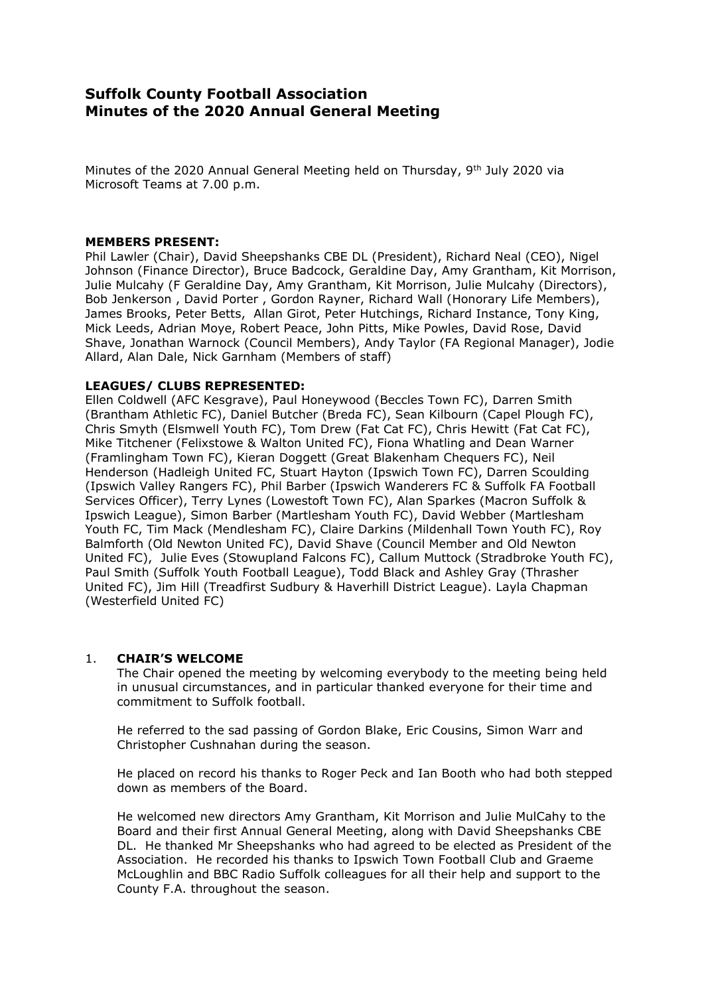# **Suffolk County Football Association Minutes of the 2020 Annual General Meeting**

Minutes of the 2020 Annual General Meeting held on Thursday, 9<sup>th</sup> July 2020 via Microsoft Teams at 7.00 p.m.

#### **MEMBERS PRESENT:**

Phil Lawler (Chair), David Sheepshanks CBE DL (President), Richard Neal (CEO), Nigel Johnson (Finance Director), Bruce Badcock, Geraldine Day, Amy Grantham, Kit Morrison, Julie Mulcahy (F Geraldine Day, Amy Grantham, Kit Morrison, Julie Mulcahy (Directors), Bob Jenkerson , David Porter , Gordon Rayner, Richard Wall (Honorary Life Members), James Brooks, Peter Betts, Allan Girot, Peter Hutchings, Richard Instance, Tony King, Mick Leeds, Adrian Moye, Robert Peace, John Pitts, Mike Powles, David Rose, David Shave, Jonathan Warnock (Council Members), Andy Taylor (FA Regional Manager), Jodie Allard, Alan Dale, Nick Garnham (Members of staff)

#### **LEAGUES/ CLUBS REPRESENTED:**

Ellen Coldwell (AFC Kesgrave), Paul Honeywood (Beccles Town FC), Darren Smith (Brantham Athletic FC), Daniel Butcher (Breda FC), Sean Kilbourn (Capel Plough FC), Chris Smyth (Elsmwell Youth FC), Tom Drew (Fat Cat FC), Chris Hewitt (Fat Cat FC), Mike Titchener (Felixstowe & Walton United FC), Fiona Whatling and Dean Warner (Framlingham Town FC), Kieran Doggett (Great Blakenham Chequers FC), Neil Henderson (Hadleigh United FC, Stuart Hayton (Ipswich Town FC), Darren Scoulding (Ipswich Valley Rangers FC), Phil Barber (Ipswich Wanderers FC & Suffolk FA Football Services Officer), Terry Lynes (Lowestoft Town FC), Alan Sparkes (Macron Suffolk & Ipswich League), Simon Barber (Martlesham Youth FC), David Webber (Martlesham Youth FC, Tim Mack (Mendlesham FC), Claire Darkins (Mildenhall Town Youth FC), Roy Balmforth (Old Newton United FC), David Shave (Council Member and Old Newton United FC), Julie Eves (Stowupland Falcons FC), Callum Muttock (Stradbroke Youth FC), Paul Smith (Suffolk Youth Football League), Todd Black and Ashley Gray (Thrasher United FC), Jim Hill (Treadfirst Sudbury & Haverhill District League). Layla Chapman (Westerfield United FC)

#### 1. **CHAIR'S WELCOME**

The Chair opened the meeting by welcoming everybody to the meeting being held in unusual circumstances, and in particular thanked everyone for their time and commitment to Suffolk football.

He referred to the sad passing of Gordon Blake, Eric Cousins, Simon Warr and Christopher Cushnahan during the season.

He placed on record his thanks to Roger Peck and Ian Booth who had both stepped down as members of the Board.

He welcomed new directors Amy Grantham, Kit Morrison and Julie MulCahy to the Board and their first Annual General Meeting, along with David Sheepshanks CBE DL. He thanked Mr Sheepshanks who had agreed to be elected as President of the Association. He recorded his thanks to Ipswich Town Football Club and Graeme McLoughlin and BBC Radio Suffolk colleagues for all their help and support to the County F.A. throughout the season.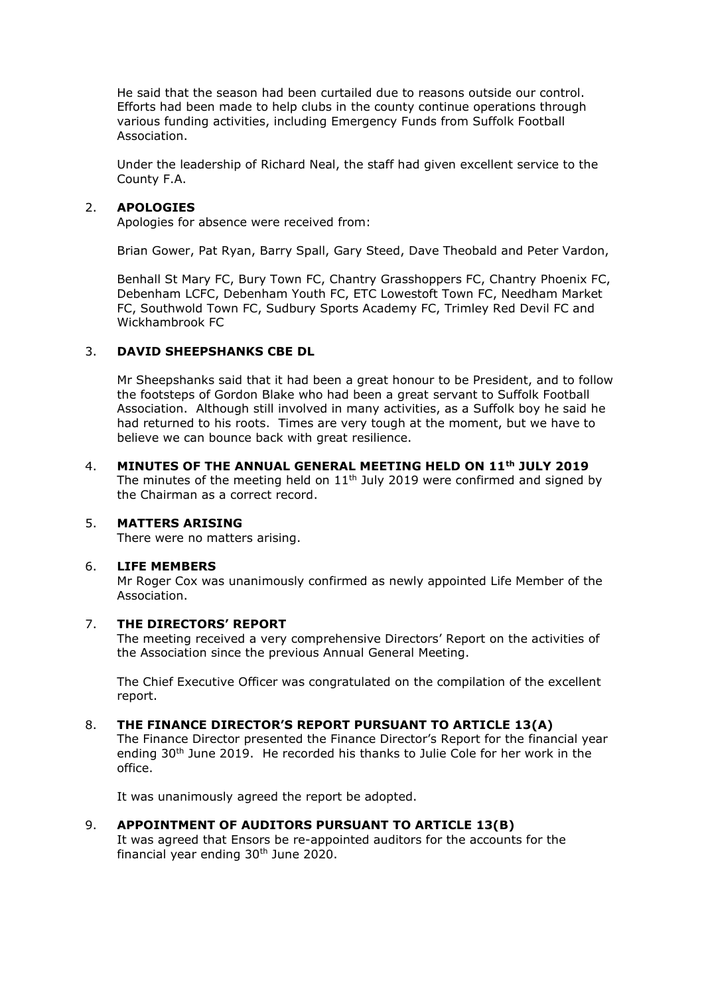He said that the season had been curtailed due to reasons outside our control. Efforts had been made to help clubs in the county continue operations through various funding activities, including Emergency Funds from Suffolk Football Association.

Under the leadership of Richard Neal, the staff had given excellent service to the County F.A.

# 2. **APOLOGIES**

Apologies for absence were received from:

Brian Gower, Pat Ryan, Barry Spall, Gary Steed, Dave Theobald and Peter Vardon,

Benhall St Mary FC, Bury Town FC, Chantry Grasshoppers FC, Chantry Phoenix FC, Debenham LCFC, Debenham Youth FC, ETC Lowestoft Town FC, Needham Market FC, Southwold Town FC, Sudbury Sports Academy FC, Trimley Red Devil FC and Wickhambrook FC

#### 3. **DAVID SHEEPSHANKS CBE DL**

Mr Sheepshanks said that it had been a great honour to be President, and to follow the footsteps of Gordon Blake who had been a great servant to Suffolk Football Association. Although still involved in many activities, as a Suffolk boy he said he had returned to his roots. Times are very tough at the moment, but we have to believe we can bounce back with great resilience.

4. **MINUTES OF THE ANNUAL GENERAL MEETING HELD ON 11th JULY 2019** The minutes of the meeting held on  $11<sup>th</sup>$  July 2019 were confirmed and signed by the Chairman as a correct record.

# 5. **MATTERS ARISING**

There were no matters arising.

#### 6. **LIFE MEMBERS**

Mr Roger Cox was unanimously confirmed as newly appointed Life Member of the Association.

#### 7. **THE DIRECTORS' REPORT**

The meeting received a very comprehensive Directors' Report on the activities of the Association since the previous Annual General Meeting.

The Chief Executive Officer was congratulated on the compilation of the excellent report.

#### 8. **THE FINANCE DIRECTOR'S REPORT PURSUANT TO ARTICLE 13(A)**

The Finance Director presented the Finance Director's Report for the financial year ending 30<sup>th</sup> June 2019. He recorded his thanks to Julie Cole for her work in the office.

It was unanimously agreed the report be adopted.

# 9. **APPOINTMENT OF AUDITORS PURSUANT TO ARTICLE 13(B)**

It was agreed that Ensors be re-appointed auditors for the accounts for the financial year ending  $30<sup>th</sup>$  June 2020.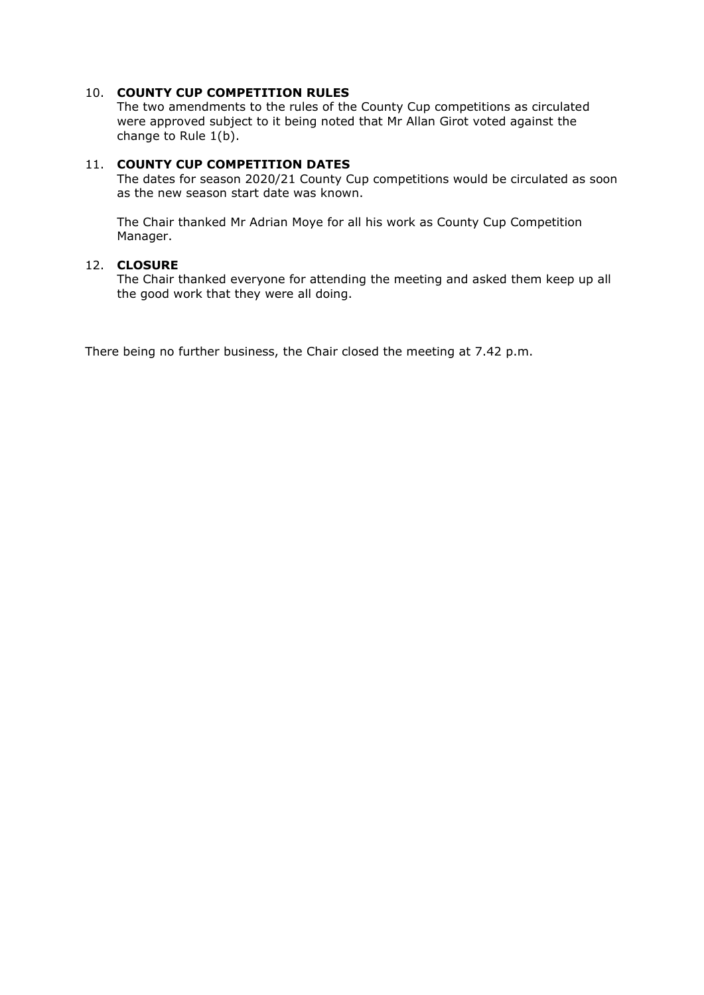# 10. **COUNTY CUP COMPETITION RULES**

The two amendments to the rules of the County Cup competitions as circulated were approved subject to it being noted that Mr Allan Girot voted against the change to Rule 1(b).

# 11. **COUNTY CUP COMPETITION DATES**

The dates for season 2020/21 County Cup competitions would be circulated as soon as the new season start date was known.

The Chair thanked Mr Adrian Moye for all his work as County Cup Competition Manager.

#### 12. **CLOSURE**

The Chair thanked everyone for attending the meeting and asked them keep up all the good work that they were all doing.

There being no further business, the Chair closed the meeting at 7.42 p.m.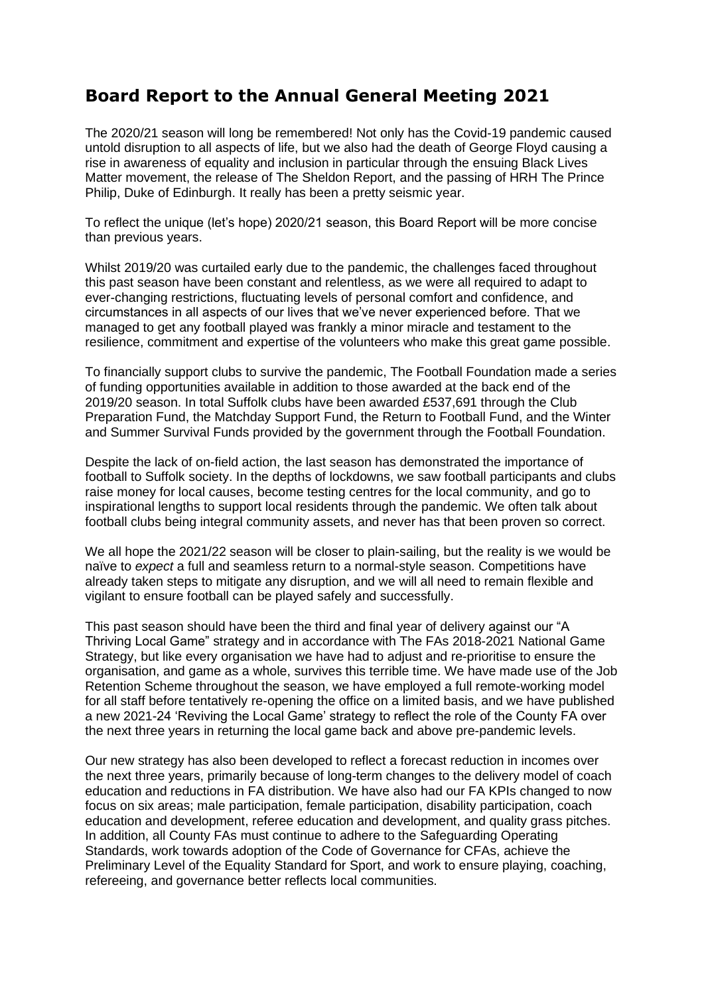# **Board Report to the Annual General Meeting 2021**

The 2020/21 season will long be remembered! Not only has the Covid-19 pandemic caused untold disruption to all aspects of life, but we also had the death of George Floyd causing a rise in awareness of equality and inclusion in particular through the ensuing Black Lives Matter movement, the release of The Sheldon Report, and the passing of HRH The Prince Philip, Duke of Edinburgh. It really has been a pretty seismic year.

To reflect the unique (let's hope) 2020/21 season, this Board Report will be more concise than previous years.

Whilst 2019/20 was curtailed early due to the pandemic, the challenges faced throughout this past season have been constant and relentless, as we were all required to adapt to ever-changing restrictions, fluctuating levels of personal comfort and confidence, and circumstances in all aspects of our lives that we've never experienced before. That we managed to get any football played was frankly a minor miracle and testament to the resilience, commitment and expertise of the volunteers who make this great game possible.

To financially support clubs to survive the pandemic, The Football Foundation made a series of funding opportunities available in addition to those awarded at the back end of the 2019/20 season. In total Suffolk clubs have been awarded £537,691 through the Club Preparation Fund, the Matchday Support Fund, the Return to Football Fund, and the Winter and Summer Survival Funds provided by the government through the Football Foundation.

Despite the lack of on-field action, the last season has demonstrated the importance of football to Suffolk society. In the depths of lockdowns, we saw football participants and clubs raise money for local causes, become testing centres for the local community, and go to inspirational lengths to support local residents through the pandemic. We often talk about football clubs being integral community assets, and never has that been proven so correct.

We all hope the 2021/22 season will be closer to plain-sailing, but the reality is we would be naïve to *expect* a full and seamless return to a normal-style season. Competitions have already taken steps to mitigate any disruption, and we will all need to remain flexible and vigilant to ensure football can be played safely and successfully.

This past season should have been the third and final year of delivery against our "A Thriving Local Game" strategy and in accordance with The FAs 2018-2021 National Game Strategy, but like every organisation we have had to adjust and re-prioritise to ensure the organisation, and game as a whole, survives this terrible time. We have made use of the Job Retention Scheme throughout the season, we have employed a full remote-working model for all staff before tentatively re-opening the office on a limited basis, and we have published a new 2021-24 'Reviving the Local Game' strategy to reflect the role of the County FA over the next three years in returning the local game back and above pre-pandemic levels.

Our new strategy has also been developed to reflect a forecast reduction in incomes over the next three years, primarily because of long-term changes to the delivery model of coach education and reductions in FA distribution. We have also had our FA KPIs changed to now focus on six areas; male participation, female participation, disability participation, coach education and development, referee education and development, and quality grass pitches. In addition, all County FAs must continue to adhere to the Safeguarding Operating Standards, work towards adoption of the Code of Governance for CFAs, achieve the Preliminary Level of the Equality Standard for Sport, and work to ensure playing, coaching, refereeing, and governance better reflects local communities.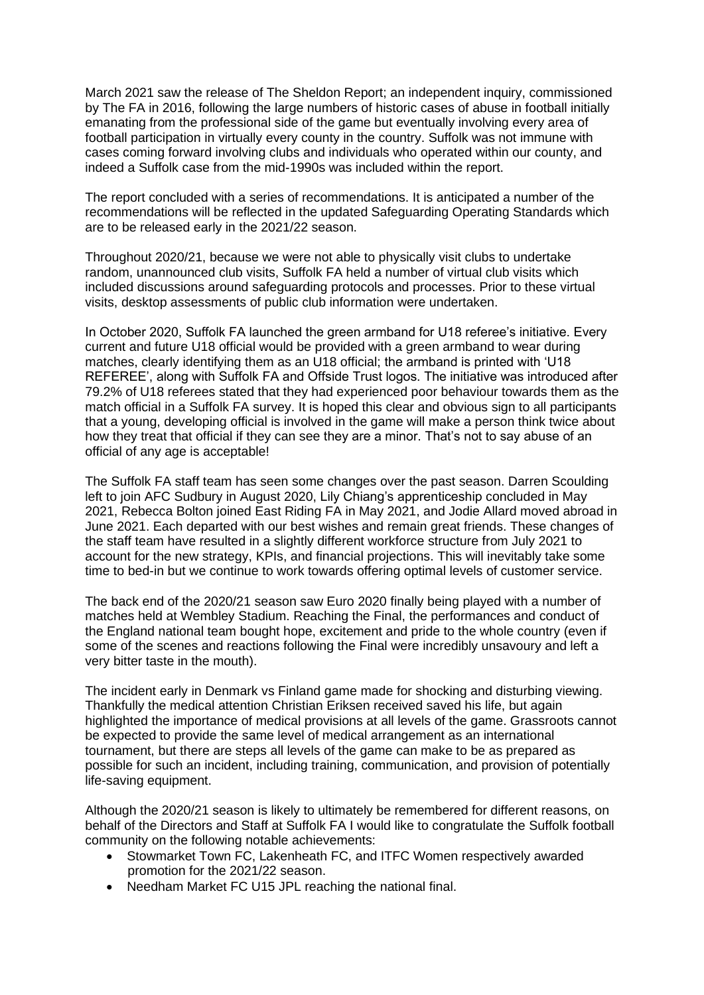March 2021 saw the release of The Sheldon Report; an independent inquiry, commissioned by The FA in 2016, following the large numbers of historic cases of abuse in football initially emanating from the professional side of the game but eventually involving every area of football participation in virtually every county in the country. Suffolk was not immune with cases coming forward involving clubs and individuals who operated within our county, and indeed a Suffolk case from the mid-1990s was included within the report.

The report concluded with a series of recommendations. It is anticipated a number of the recommendations will be reflected in the updated Safeguarding Operating Standards which are to be released early in the 2021/22 season.

Throughout 2020/21, because we were not able to physically visit clubs to undertake random, unannounced club visits, Suffolk FA held a number of virtual club visits which included discussions around safeguarding protocols and processes. Prior to these virtual visits, desktop assessments of public club information were undertaken.

In October 2020, Suffolk FA launched the green armband for U18 referee's initiative. Every current and future U18 official would be provided with a green armband to wear during matches, clearly identifying them as an U18 official; the armband is printed with 'U18 REFEREE', along with Suffolk FA and Offside Trust logos. The initiative was introduced after 79.2% of U18 referees stated that they had experienced poor behaviour towards them as the match official in a Suffolk FA survey. It is hoped this clear and obvious sign to all participants that a young, developing official is involved in the game will make a person think twice about how they treat that official if they can see they are a minor. That's not to say abuse of an official of any age is acceptable!

The Suffolk FA staff team has seen some changes over the past season. Darren Scoulding left to join AFC Sudbury in August 2020, Lily Chiang's apprenticeship concluded in May 2021, Rebecca Bolton joined East Riding FA in May 2021, and Jodie Allard moved abroad in June 2021. Each departed with our best wishes and remain great friends. These changes of the staff team have resulted in a slightly different workforce structure from July 2021 to account for the new strategy, KPIs, and financial projections. This will inevitably take some time to bed-in but we continue to work towards offering optimal levels of customer service.

The back end of the 2020/21 season saw Euro 2020 finally being played with a number of matches held at Wembley Stadium. Reaching the Final, the performances and conduct of the England national team bought hope, excitement and pride to the whole country (even if some of the scenes and reactions following the Final were incredibly unsavoury and left a very bitter taste in the mouth).

The incident early in Denmark vs Finland game made for shocking and disturbing viewing. Thankfully the medical attention Christian Eriksen received saved his life, but again highlighted the importance of medical provisions at all levels of the game. Grassroots cannot be expected to provide the same level of medical arrangement as an international tournament, but there are steps all levels of the game can make to be as prepared as possible for such an incident, including training, communication, and provision of potentially life-saving equipment.

Although the 2020/21 season is likely to ultimately be remembered for different reasons, on behalf of the Directors and Staff at Suffolk FA I would like to congratulate the Suffolk football community on the following notable achievements:

- Stowmarket Town FC, Lakenheath FC, and ITFC Women respectively awarded promotion for the 2021/22 season.
- Needham Market FC U15 JPL reaching the national final.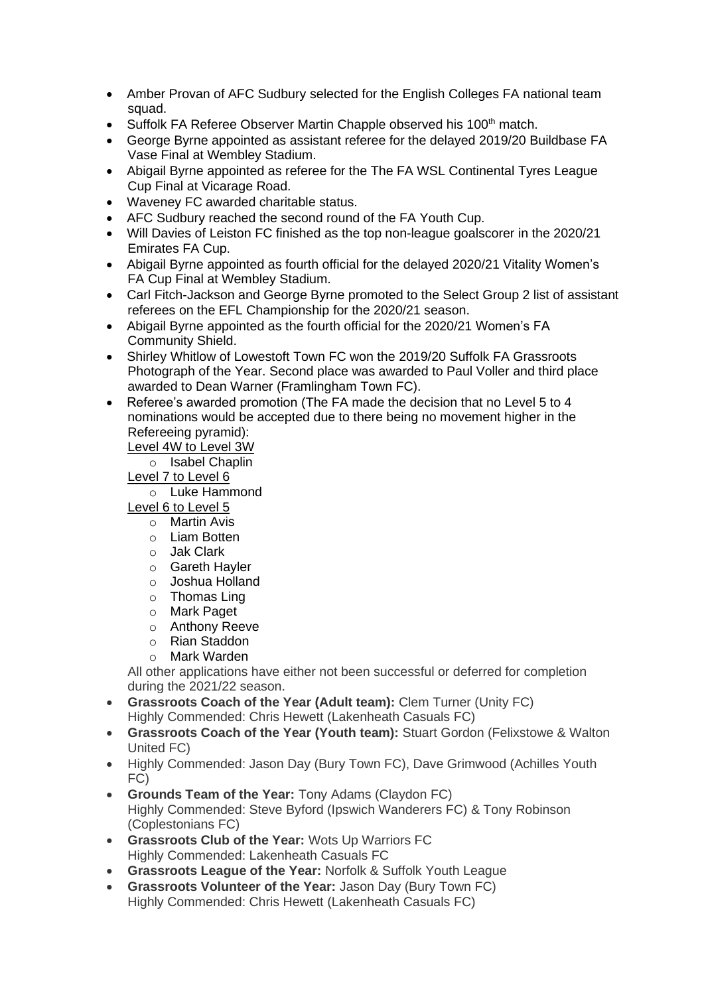- Amber Provan of AFC Sudbury selected for the English Colleges FA national team squad.
- Suffolk FA Referee Observer Martin Chapple observed his 100<sup>th</sup> match.
- George Byrne appointed as assistant referee for the delayed 2019/20 Buildbase FA Vase Final at Wembley Stadium.
- Abigail Byrne appointed as referee for the The FA WSL Continental Tyres League Cup Final at Vicarage Road.
- Waveney FC awarded charitable status.
- AFC Sudbury reached the second round of the FA Youth Cup.
- Will Davies of Leiston FC finished as the top non-league goalscorer in the 2020/21 Emirates FA Cup.
- Abigail Byrne appointed as fourth official for the delayed 2020/21 Vitality Women's FA Cup Final at Wembley Stadium.
- Carl Fitch-Jackson and George Byrne promoted to the Select Group 2 list of assistant referees on the EFL Championship for the 2020/21 season.
- Abigail Byrne appointed as the fourth official for the 2020/21 Women's FA Community Shield.
- Shirley Whitlow of Lowestoft Town FC won the 2019/20 Suffolk FA Grassroots Photograph of the Year. Second place was awarded to Paul Voller and third place awarded to Dean Warner (Framlingham Town FC).
- Referee's awarded promotion (The FA made the decision that no Level 5 to 4 nominations would be accepted due to there being no movement higher in the Refereeing pyramid):

Level 4W to Level 3W

- o Isabel Chaplin
- Level 7 to Level 6
	- o Luke Hammond
- Level 6 to Level 5
	- o Martin Avis
	- o Liam Botten
	- o Jak Clark
	- o Gareth Hayler
	- o Joshua Holland
	- o Thomas Ling
	- o Mark Paget
	- o Anthony Reeve
	- o Rian Staddon
	- o Mark Warden

All other applications have either not been successful or deferred for completion during the 2021/22 season.

- **Grassroots Coach of the Year (Adult team):** Clem Turner (Unity FC) Highly Commended: Chris Hewett (Lakenheath Casuals FC)
- **Grassroots Coach of the Year (Youth team):** Stuart Gordon (Felixstowe & Walton United FC)
- Highly Commended: Jason Day (Bury Town FC), Dave Grimwood (Achilles Youth FC)
- **Grounds Team of the Year:** Tony Adams (Claydon FC) Highly Commended: Steve Byford (Ipswich Wanderers FC) & Tony Robinson (Coplestonians FC)
- **Grassroots Club of the Year:** Wots Up Warriors FC Highly Commended: Lakenheath Casuals FC
- **Grassroots League of the Year:** Norfolk & Suffolk Youth League
- **Grassroots Volunteer of the Year:** Jason Day (Bury Town FC) Highly Commended: Chris Hewett (Lakenheath Casuals FC)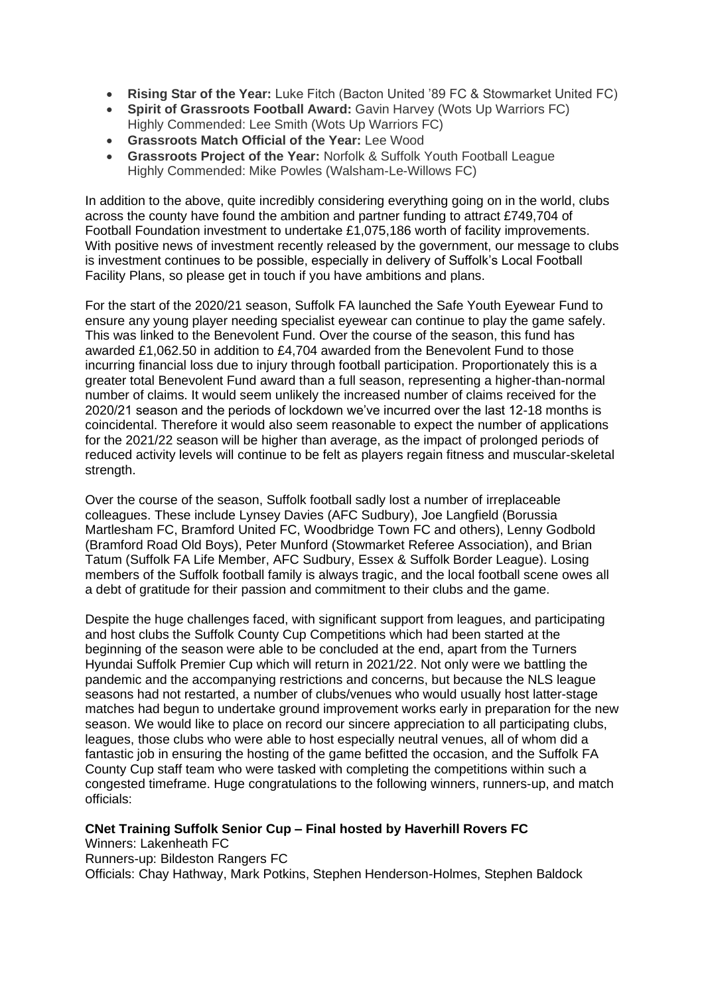- **Rising Star of the Year:** Luke Fitch (Bacton United '89 FC & Stowmarket United FC)
- **Spirit of Grassroots Football Award:** Gavin Harvey (Wots Up Warriors FC) Highly Commended: Lee Smith (Wots Up Warriors FC)
- **Grassroots Match Official of the Year:** Lee Wood
- **Grassroots Project of the Year:** Norfolk & Suffolk Youth Football League Highly Commended: Mike Powles (Walsham-Le-Willows FC)

In addition to the above, quite incredibly considering everything going on in the world, clubs across the county have found the ambition and partner funding to attract £749,704 of Football Foundation investment to undertake £1,075,186 worth of facility improvements. With positive news of investment recently released by the government, our message to clubs is investment continues to be possible, especially in delivery of Suffolk's Local Football Facility Plans, so please get in touch if you have ambitions and plans.

For the start of the 2020/21 season, Suffolk FA launched the Safe Youth Eyewear Fund to ensure any young player needing specialist eyewear can continue to play the game safely. This was linked to the Benevolent Fund. Over the course of the season, this fund has awarded £1,062.50 in addition to £4,704 awarded from the Benevolent Fund to those incurring financial loss due to injury through football participation. Proportionately this is a greater total Benevolent Fund award than a full season, representing a higher-than-normal number of claims. It would seem unlikely the increased number of claims received for the 2020/21 season and the periods of lockdown we've incurred over the last 12-18 months is coincidental. Therefore it would also seem reasonable to expect the number of applications for the 2021/22 season will be higher than average, as the impact of prolonged periods of reduced activity levels will continue to be felt as players regain fitness and muscular-skeletal strength.

Over the course of the season, Suffolk football sadly lost a number of irreplaceable colleagues. These include Lynsey Davies (AFC Sudbury), Joe Langfield (Borussia Martlesham FC, Bramford United FC, Woodbridge Town FC and others), Lenny Godbold (Bramford Road Old Boys), Peter Munford (Stowmarket Referee Association), and Brian Tatum (Suffolk FA Life Member, AFC Sudbury, Essex & Suffolk Border League). Losing members of the Suffolk football family is always tragic, and the local football scene owes all a debt of gratitude for their passion and commitment to their clubs and the game.

Despite the huge challenges faced, with significant support from leagues, and participating and host clubs the Suffolk County Cup Competitions which had been started at the beginning of the season were able to be concluded at the end, apart from the Turners Hyundai Suffolk Premier Cup which will return in 2021/22. Not only were we battling the pandemic and the accompanying restrictions and concerns, but because the NLS league seasons had not restarted, a number of clubs/venues who would usually host latter-stage matches had begun to undertake ground improvement works early in preparation for the new season. We would like to place on record our sincere appreciation to all participating clubs, leagues, those clubs who were able to host especially neutral venues, all of whom did a fantastic job in ensuring the hosting of the game befitted the occasion, and the Suffolk FA County Cup staff team who were tasked with completing the competitions within such a congested timeframe. Huge congratulations to the following winners, runners-up, and match officials:

#### **CNet Training Suffolk Senior Cup – Final hosted by Haverhill Rovers FC**

Winners: Lakenheath FC

Runners-up: Bildeston Rangers FC

Officials: Chay Hathway, Mark Potkins, Stephen Henderson-Holmes, Stephen Baldock